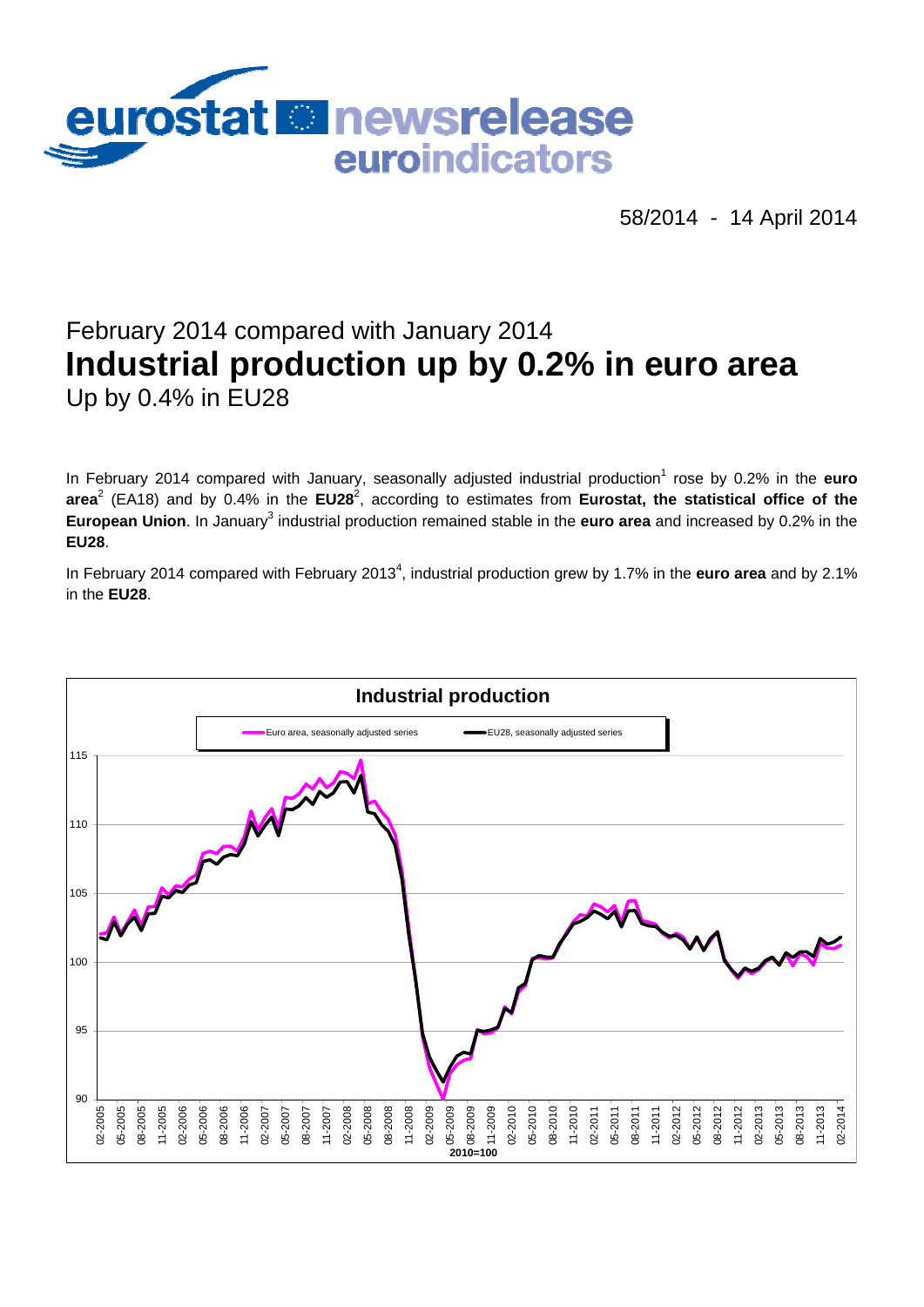

58/2014 - 14 April 2014

# February 2014 compared with January 2014 **Industrial production up by 0.2% in euro area**  Up by 0.4% in EU28

In February 2014 compared with January, seasonally adjusted industrial production<sup>1</sup> rose by 0.2% in the **euro** area<sup>2</sup> (EA18) and by 0.4% in the EU28<sup>2</sup>, according to estimates from Eurostat, the statistical office of the European Union. In January<sup>3</sup> industrial production remained stable in the euro area and increased by 0.2% in the **EU28**.

In February 2014 compared with February 2013<sup>4</sup>, industrial production grew by 1.7% in the **euro area** and by 2.1% in the **EU28**.

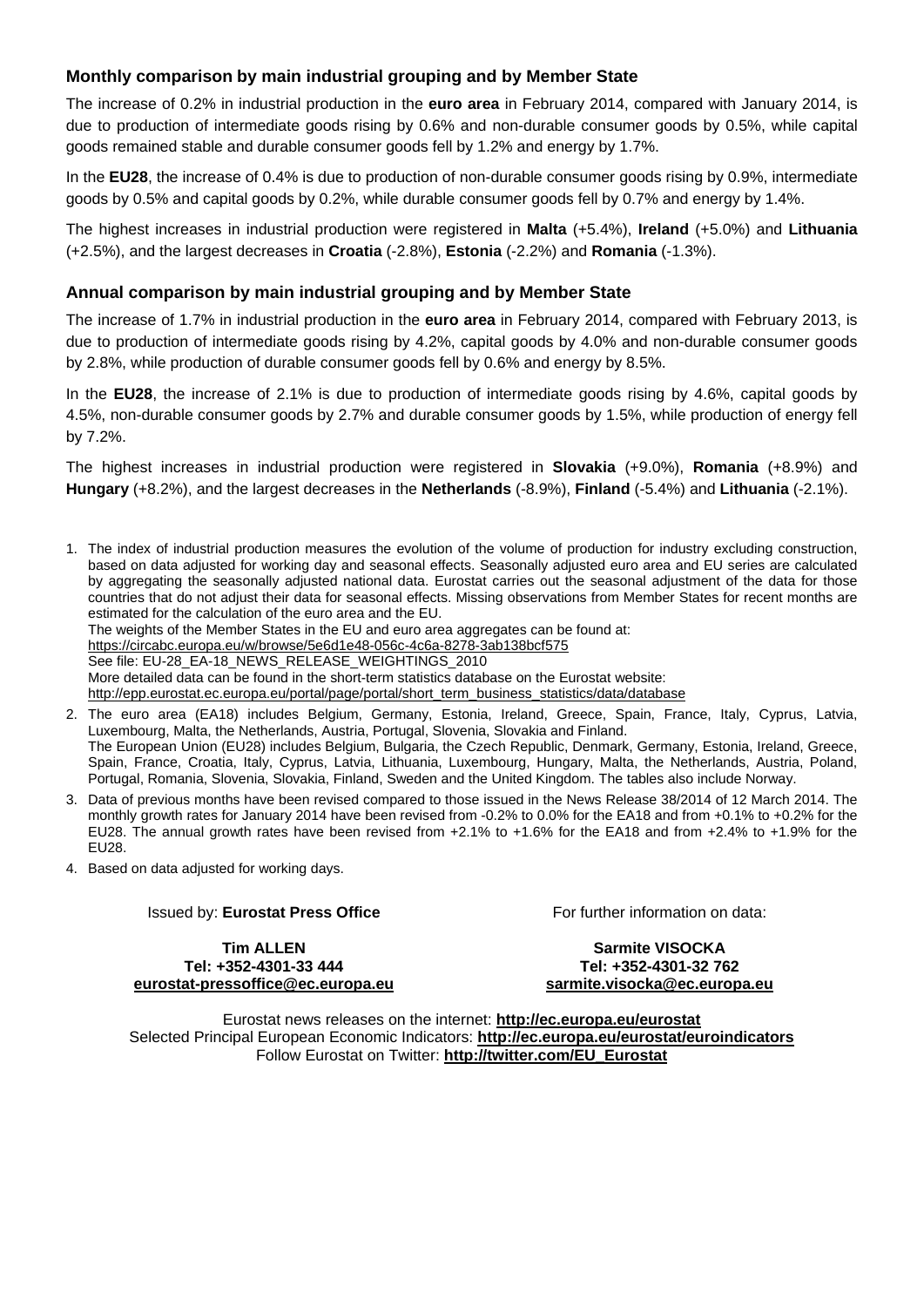## **Monthly comparison by main industrial grouping and by Member State**

The increase of 0.2% in industrial production in the **euro area** in February 2014, compared with January 2014, is due to production of intermediate goods rising by 0.6% and non-durable consumer goods by 0.5%, while capital goods remained stable and durable consumer goods fell by 1.2% and energy by 1.7%.

In the **EU28**, the increase of 0.4% is due to production of non-durable consumer goods rising by 0.9%, intermediate goods by 0.5% and capital goods by 0.2%, while durable consumer goods fell by 0.7% and energy by 1.4%.

The highest increases in industrial production were registered in **Malta** (+5.4%), **Ireland** (+5.0%) and **Lithuania** (+2.5%), and the largest decreases in **Croatia** (-2.8%), **Estonia** (-2.2%) and **Romania** (-1.3%).

#### **Annual comparison by main industrial grouping and by Member State**

The increase of 1.7% in industrial production in the **euro area** in February 2014, compared with February 2013, is due to production of intermediate goods rising by 4.2%, capital goods by 4.0% and non-durable consumer goods by 2.8%, while production of durable consumer goods fell by 0.6% and energy by 8.5%.

In the **EU28**, the increase of 2.1% is due to production of intermediate goods rising by 4.6%, capital goods by 4.5%, non-durable consumer goods by 2.7% and durable consumer goods by 1.5%, while production of energy fell by 7.2%.

The highest increases in industrial production were registered in **Slovakia** (+9.0%), **Romania** (+8.9%) and **Hungary** (+8.2%), and the largest decreases in the **Netherlands** (-8.9%), **Finland** (-5.4%) and **Lithuania** (-2.1%).

1. The index of industrial production measures the evolution of the volume of production for industry excluding construction, based on data adjusted for working day and seasonal effects. Seasonally adjusted euro area and EU series are calculated by aggregating the seasonally adjusted national data. Eurostat carries out the seasonal adjustment of the data for those countries that do not adjust their data for seasonal effects. Missing observations from Member States for recent months are estimated for the calculation of the euro area and the EU.

The weights of the Member States in the EU and euro area aggregates can be found at:

<https://circabc.europa.eu/w/browse/5e6d1e48-056c-4c6a-8278-3ab138bcf575>

See file: EU-28\_EA-18\_NEWS\_RELEASE\_WEIGHTINGS\_2010

More detailed data can be found in the short-term statistics database on the Eurostat website:

[http://epp.eurostat.ec.europa.eu/portal/page/portal/short\\_term\\_business\\_statistics/data/database](http://epp.eurostat.ec.europa.eu/portal/page/portal/short_term_business_statistics/data/database) 

- 2. The euro area (EA18) includes Belgium, Germany, Estonia, Ireland, Greece, Spain, France, Italy, Cyprus, Latvia, Luxembourg, Malta, the Netherlands, Austria, Portugal, Slovenia, Slovakia and Finland. The European Union (EU28) includes Belgium, Bulgaria, the Czech Republic, Denmark, Germany, Estonia, Ireland, Greece, Spain, France, Croatia, Italy, Cyprus, Latvia, Lithuania, Luxembourg, Hungary, Malta, the Netherlands, Austria, Poland, Portugal, Romania, Slovenia, Slovakia, Finland, Sweden and the United Kingdom. The tables also include Norway.
- 3. Data of previous months have been revised compared to those issued in the News Release 38/2014 of 12 March 2014. The monthly growth rates for January 2014 have been revised from -0.2% to 0.0% for the EA18 and from +0.1% to +0.2% for the EU28. The annual growth rates have been revised from +2.1% to +1.6% for the EA18 and from +2.4% to +1.9% for the EU28.
- 4. Based on data adjusted for working days.

#### Issued by: **Eurostat Press Office**

**Tim ALLEN Tel: +352-4301-33 444 [eurostat-pressoffice@ec.europa.eu](mailto:eurostat-pressoffice@ec.europa.eu)**  For further information on data:

**Sarmite VISOCKA Tel: +352-4301-32 762 [sarmite.visocka@ec.europa.eu](mailto:sarmite.visocka@ec.europa.eu)** 

Eurostat news releases on the internet: **<http://ec.europa.eu/eurostat>** Selected Principal European Economic Indicators: **<http://ec.europa.eu/eurostat/euroindicators>** Follow Eurostat on Twitter: **[http://twitter.com/EU\\_Eurostat](http://twitter.com/EU_Eurostat)**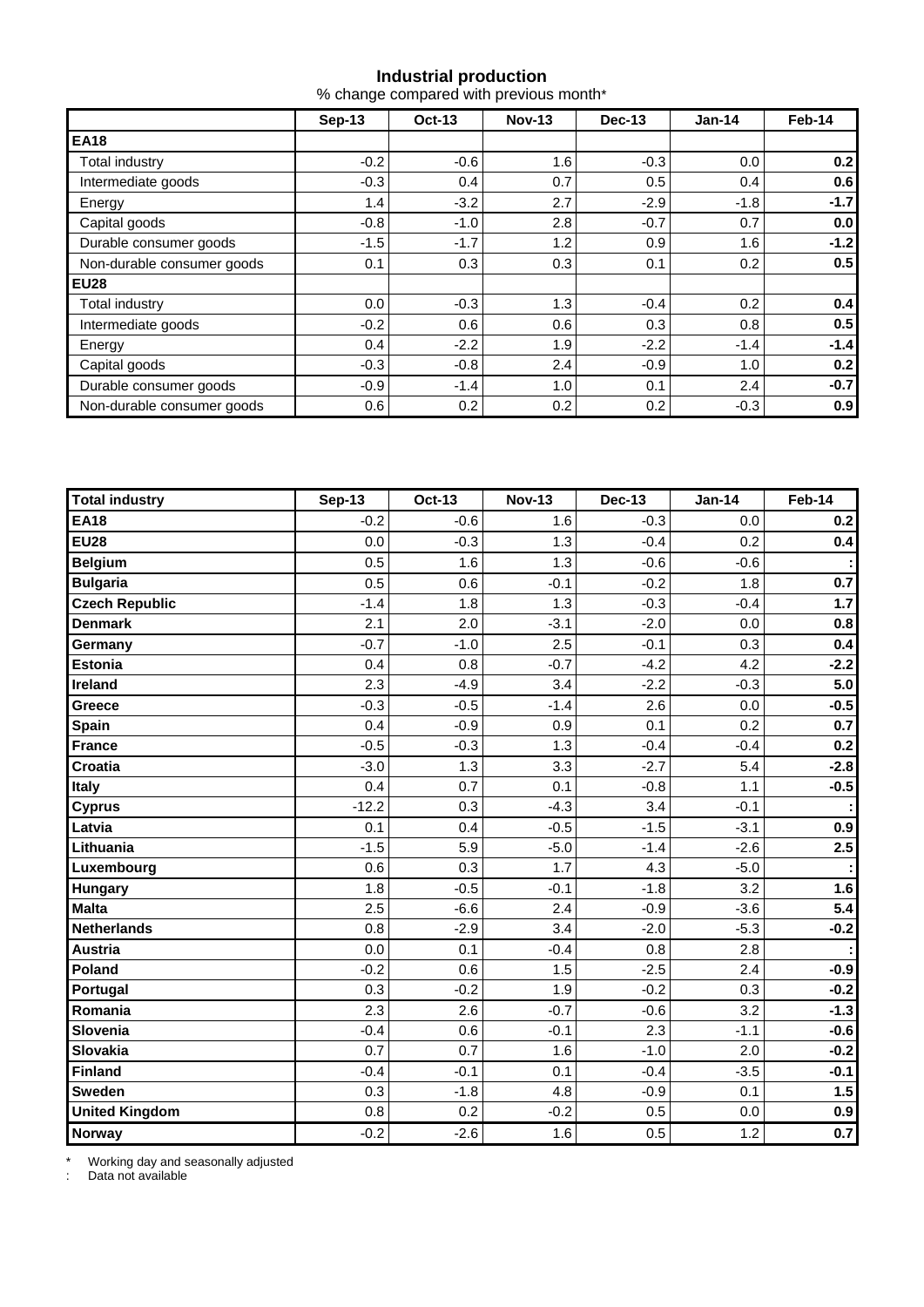#### **Industrial production**

% change compared with previous month\*

|                            | Sep-13  | <b>Oct-13</b> | <b>Nov-13</b> | <b>Dec-13</b> | Jan-14  | Feb-14           |  |
|----------------------------|---------|---------------|---------------|---------------|---------|------------------|--|
| <b>EA18</b>                |         |               |               |               |         |                  |  |
| Total industry             | $-0.2$  | $-0.6$        | 1.6           | $-0.3$        | 0.0     | 0.2 <sub>1</sub> |  |
| Intermediate goods         | $-0.3$  | 0.4           | 0.7           | 0.5           | 0.4     | 0.6              |  |
| Energy                     | 1.4     | $-3.2$        | 2.7           | $-2.9$        | $-1.8$  | $-1.7$           |  |
| Capital goods              | $-0.8$  | $-1.0$        | 2.8           | $-0.7$        | 0.7     | 0.0              |  |
| Durable consumer goods     | $-1.5$  | $-1.7$        | 1.2           | 0.9           | 1.6     | $-1.2$           |  |
| Non-durable consumer goods | 0.1     | 0.3           | 0.3           | 0.1           | 0.2     | 0.5 <sub>1</sub> |  |
| <b>EU28</b>                |         |               |               |               |         |                  |  |
| Total industry             | $0.0\,$ | $-0.3$        | 1.3           | $-0.4$        | 0.2     | 0.4              |  |
| Intermediate goods         | $-0.2$  | 0.6           | 0.6           | 0.3           | 0.8     | 0.5              |  |
| Energy                     | 0.4     | $-2.2$        | 1.9           | $-2.2$        | $-1.4$  | $-1.4$           |  |
| Capital goods              | $-0.3$  | $-0.8$        | 2.4           | $-0.9$        | 1.0     | 0.2              |  |
| Durable consumer goods     | $-0.9$  | $-1.4$        | 1.0           | 0.1           | $2.4\,$ | $-0.7$           |  |
| Non-durable consumer goods | 0.6     | 0.2           | 0.2           | 0.2           | $-0.3$  | 0.9              |  |

| <b>Total industry</b> | <b>Sep-13</b> | Oct-13 | <b>Nov-13</b> | <b>Dec-13</b> | <b>Jan-14</b> | Feb-14 |
|-----------------------|---------------|--------|---------------|---------------|---------------|--------|
| <b>EA18</b>           | $-0.2$        | $-0.6$ | 1.6           | $-0.3$        | 0.0           | 0.2    |
| <b>EU28</b>           | 0.0           | $-0.3$ | 1.3           | $-0.4$        | 0.2           | 0.4    |
| <b>Belgium</b>        | 0.5           | 1.6    | 1.3           | $-0.6$        | $-0.6$        |        |
| <b>Bulgaria</b>       | 0.5           | 0.6    | $-0.1$        | $-0.2$        | 1.8           | 0.7    |
| <b>Czech Republic</b> | $-1.4$        | 1.8    | 1.3           | $-0.3$        | $-0.4$        | 1.7    |
| <b>Denmark</b>        | 2.1           | 2.0    | $-3.1$        | $-2.0$        | 0.0           | 0.8    |
| Germany               | $-0.7$        | $-1.0$ | 2.5           | $-0.1$        | 0.3           | 0.4    |
| <b>Estonia</b>        | 0.4           | 0.8    | $-0.7$        | $-4.2$        | 4.2           | $-2.2$ |
| Ireland               | 2.3           | $-4.9$ | 3.4           | $-2.2$        | $-0.3$        | 5.0    |
| Greece                | $-0.3$        | $-0.5$ | $-1.4$        | 2.6           | 0.0           | $-0.5$ |
| <b>Spain</b>          | 0.4           | $-0.9$ | 0.9           | 0.1           | 0.2           | 0.7    |
| <b>France</b>         | $-0.5$        | $-0.3$ | 1.3           | $-0.4$        | $-0.4$        | 0.2    |
| <b>Croatia</b>        | $-3.0$        | 1.3    | 3.3           | $-2.7$        | 5.4           | $-2.8$ |
| <b>Italy</b>          | 0.4           | 0.7    | 0.1           | $-0.8$        | 1.1           | $-0.5$ |
| <b>Cyprus</b>         | $-12.2$       | 0.3    | $-4.3$        | 3.4           | $-0.1$        |        |
| Latvia                | 0.1           | 0.4    | $-0.5$        | $-1.5$        | $-3.1$        | 0.9    |
| Lithuania             | $-1.5$        | 5.9    | $-5.0$        | $-1.4$        | $-2.6$        | 2.5    |
| Luxembourg            | 0.6           | 0.3    | 1.7           | 4.3           | $-5.0$        |        |
| <b>Hungary</b>        | 1.8           | $-0.5$ | $-0.1$        | $-1.8$        | 3.2           | 1.6    |
| <b>Malta</b>          | 2.5           | $-6.6$ | 2.4           | $-0.9$        | $-3.6$        | 5.4    |
| <b>Netherlands</b>    | 0.8           | $-2.9$ | 3.4           | $-2.0$        | $-5.3$        | $-0.2$ |
| <b>Austria</b>        | 0.0           | 0.1    | $-0.4$        | 0.8           | 2.8           |        |
| Poland                | $-0.2$        | 0.6    | 1.5           | $-2.5$        | 2.4           | $-0.9$ |
| Portugal              | 0.3           | $-0.2$ | 1.9           | $-0.2$        | 0.3           | $-0.2$ |
| Romania               | 2.3           | 2.6    | $-0.7$        | $-0.6$        | 3.2           | $-1.3$ |
| Slovenia              | $-0.4$        | 0.6    | $-0.1$        | 2.3           | $-1.1$        | $-0.6$ |
| Slovakia              | 0.7           | 0.7    | 1.6           | $-1.0$        | 2.0           | $-0.2$ |
| <b>Finland</b>        | $-0.4$        | $-0.1$ | 0.1           | $-0.4$        | $-3.5$        | $-0.1$ |
| <b>Sweden</b>         | 0.3           | $-1.8$ | 4.8           | $-0.9$        | 0.1           | 1.5    |
| <b>United Kingdom</b> | 0.8           | 0.2    | $-0.2$        | 0.5           | 0.0           | 0.9    |
| <b>Norway</b>         | $-0.2$        | $-2.6$ | 1.6           | 0.5           | 1.2           | 0.7    |

\* Working day and seasonally adjusted

: Data not available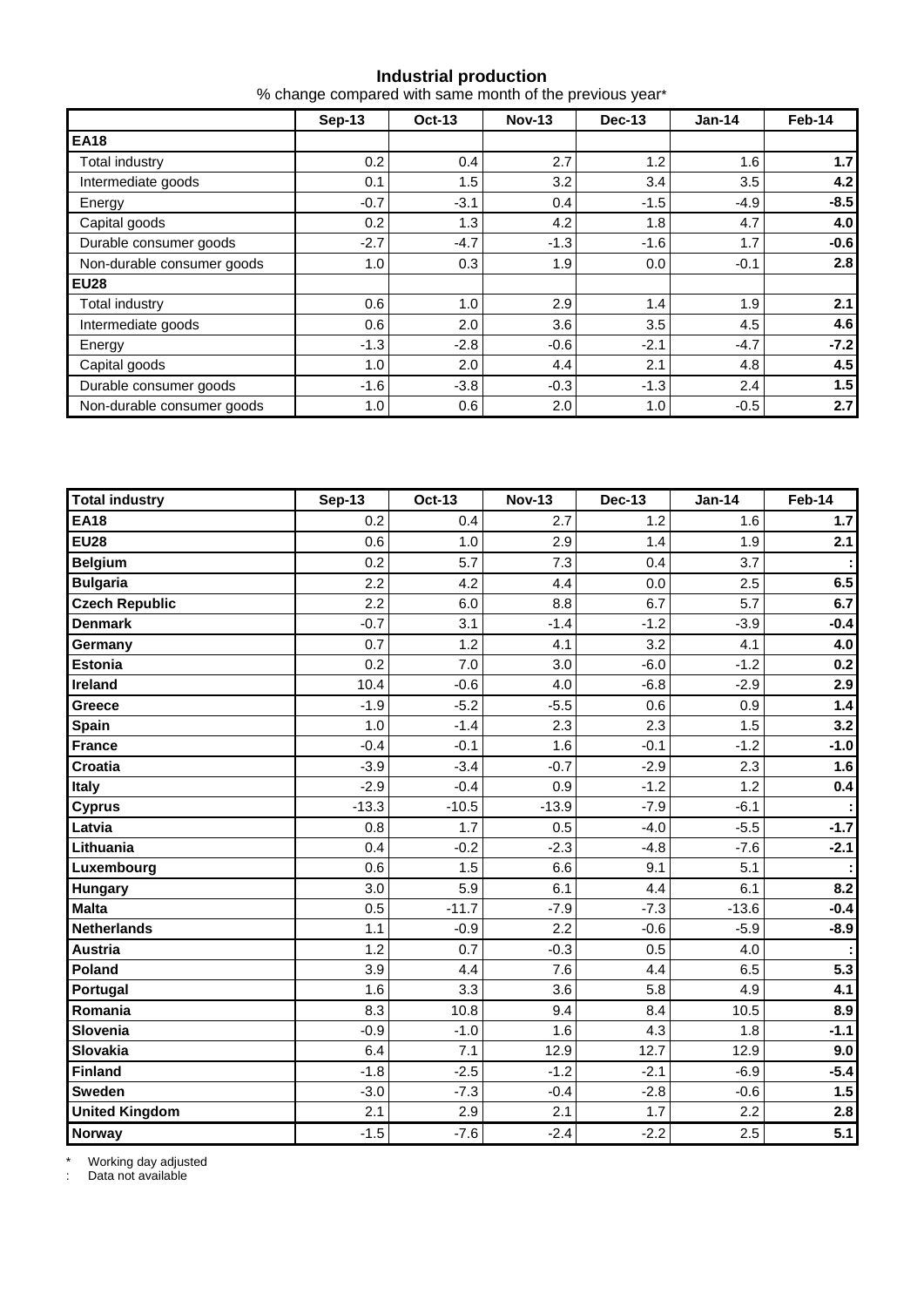## **Industrial production**

| % change compared with same month of the previous year* |  |  |  |
|---------------------------------------------------------|--|--|--|
|---------------------------------------------------------|--|--|--|

|                            | <b>Sep-13</b> | <b>Oct-13</b> | <b>Nov-13</b> | Dec-13     | Jan-14 | Feb-14 |
|----------------------------|---------------|---------------|---------------|------------|--------|--------|
| <b>EA18</b>                |               |               |               |            |        |        |
| Total industry             | 0.2           | 0.4           | 2.7           | 1.2<br>1.6 |        | 1.7    |
| Intermediate goods         | 0.1           | 1.5           | 3.2           | 3.4        | 3.5    | 4.2    |
| Energy                     | $-0.7$        | $-3.1$        | 0.4           | $-1.5$     | $-4.9$ | $-8.5$ |
| Capital goods              | 0.2           | 1.3           | 4.2           | 1.8        | 4.7    | 4.0    |
| Durable consumer goods     | $-2.7$        | $-4.7$        | $-1.3$        | $-1.6$     | 1.7    | $-0.6$ |
| Non-durable consumer goods | 1.0           | 0.3           | 1.9           | 0.0        | $-0.1$ | 2.8    |
| <b>EU28</b>                |               |               |               |            |        |        |
| Total industry             | 0.6           | 1.0           | 2.9           | 1.4        | 1.9    | 2.1    |
| Intermediate goods         | 0.6           | 2.0           | 3.6           | 3.5        | 4.5    | 4.6    |
| Energy                     | $-1.3$        | $-2.8$        | $-0.6$        | $-2.1$     | $-4.7$ | $-7.2$ |
| Capital goods              | 1.0           | 2.0           | 4.4           | 2.1        | 4.8    | 4.5    |
| Durable consumer goods     | $-1.6$        | $-3.8$        | $-0.3$        | $-1.3$     | 2.4    | 1.5    |
| Non-durable consumer goods | 1.0           | 0.6           | 2.0           | 1.0        | $-0.5$ | 2.7    |

| <b>Total industry</b> | <b>Sep-13</b> | <b>Oct-13</b> | <b>Nov-13</b> | <b>Dec-13</b> | <b>Jan-14</b> | Feb-14 |  |
|-----------------------|---------------|---------------|---------------|---------------|---------------|--------|--|
| <b>EA18</b>           | 0.2           | 0.4           | 2.7           | 1.2           | 1.6           | 1.7    |  |
| <b>EU28</b>           | 0.6           | 1.0           | 2.9           | 1.4           | 1.9           | 2.1    |  |
| <b>Belgium</b>        | 0.2           | 5.7           | 7.3           | 0.4           | 3.7           |        |  |
| <b>Bulgaria</b>       | 2.2           | 4.2           | 4.4           | 0.0           | 2.5           | 6.5    |  |
| <b>Czech Republic</b> | 2.2           | 6.0           | 8.8           | 6.7           | 5.7           | 6.7    |  |
| <b>Denmark</b>        | $-0.7$        | 3.1           | $-1.4$        | $-1.2$        | $-3.9$        | $-0.4$ |  |
| Germany               | 0.7           | 1.2           | 4.1           | 3.2           | 4.1           | 4.0    |  |
| <b>Estonia</b>        | 0.2           | 7.0           | 3.0           | $-6.0$        | $-1.2$        | 0.2    |  |
| Ireland               | 10.4          | $-0.6$        | 4.0           | $-6.8$        | $-2.9$        | 2.9    |  |
| Greece                | $-1.9$        | $-5.2$        | $-5.5$        | 0.6           | 0.9           | 1.4    |  |
| Spain                 | 1.0           | $-1.4$        | 2.3           | 2.3           | 1.5           | 3.2    |  |
| <b>France</b>         | $-0.4$        | $-0.1$        | 1.6           | $-0.1$        | $-1.2$        | $-1.0$ |  |
| Croatia               | $-3.9$        | $-3.4$        | $-0.7$        | $-2.9$        | 2.3           | 1.6    |  |
| Italy                 | $-2.9$        | $-0.4$        | 0.9           | $-1.2$        | 1.2           | 0.4    |  |
| <b>Cyprus</b>         | $-13.3$       | $-10.5$       | $-13.9$       | $-7.9$        | $-6.1$        |        |  |
| Latvia                | 0.8           | 1.7           | 0.5           | $-4.0$        | $-5.5$        | $-1.7$ |  |
| Lithuania             | 0.4           | $-0.2$        | $-2.3$        | $-4.8$        | $-7.6$        | $-2.1$ |  |
| Luxembourg            | 0.6           | 1.5           | 6.6           | 9.1           | 5.1           |        |  |
| Hungary               | 3.0           | 5.9           | 6.1           | 4.4           | 6.1           | 8.2    |  |
| <b>Malta</b>          | 0.5           | $-11.7$       | $-7.9$        | $-7.3$        | $-13.6$       | $-0.4$ |  |
| <b>Netherlands</b>    | 1.1           | $-0.9$        | 2.2           | $-0.6$        | $-5.9$        | $-8.9$ |  |
| <b>Austria</b>        | 1.2           | 0.7           | $-0.3$        | 0.5           | 4.0           |        |  |
| Poland                | 3.9           | 4.4           | 7.6           | 4.4           | 6.5           | 5.3    |  |
| Portugal              | 1.6           | 3.3           | 3.6           | 5.8           | 4.9           | 4.1    |  |
| Romania               | 8.3           | 10.8          | 9.4           | 8.4           | 10.5          | 8.9    |  |
| Slovenia              | $-0.9$        | $-1.0$        | 1.6           | 4.3           | 1.8           | $-1.1$ |  |
| <b>Slovakia</b>       | 6.4           | 7.1           | 12.9          | 12.7          | 12.9          | 9.0    |  |
| <b>Finland</b>        | $-1.8$        | $-2.5$        | $-1.2$        | $-2.1$        | $-6.9$        | $-5.4$ |  |
| <b>Sweden</b>         | $-3.0$        | $-7.3$        | $-0.4$        | $-2.8$        | $-0.6$        | 1.5    |  |
| <b>United Kingdom</b> | 2.1           | 2.9           | 2.1           | 1.7           | 2.2           | 2.8    |  |
| Norway                | $-1.5$        | $-7.6$        | $-2.4$        | $-2.2$        | 2.5           | 5.1    |  |

\* Working day adjusted

: Data not available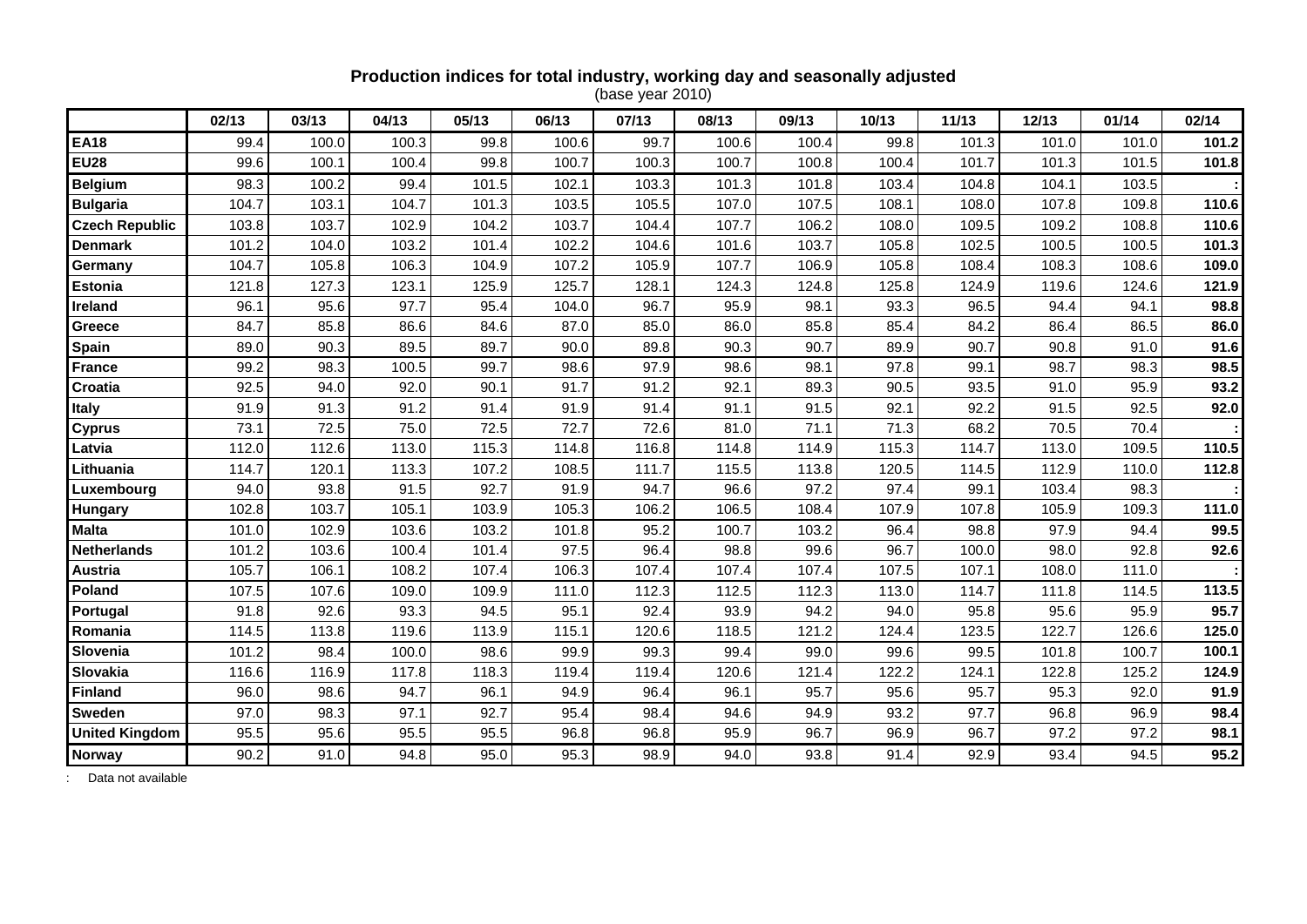#### 02/13 | 03/13 | 04/13 | 05/13 | 06/13 | 07/13 | 08/13 | 09/13 | 10/13 | 11/13 | 12/13 | 01/14 | 02/14 **EA18** 99.4 100.0 100.3 99.8 100.6 99.7 100.6 100.4 99.8 101.3 101.0 101.0 **101.2 EU28** 99.6 100.1 100.4 99.8 100.7 100.3 100.7 100.8 100.4 101.7 101.3 101.5 **101.8 Belgium** 98.3 100.2 99.4 101.5 102.1 103.3 101.3 101.8 103.4 104.8 104.1 103.5 **: Bulgaria** 104.7 103.1 104.7 101.3 103.5 105.5 107.0 107.5 108.1 108.0 107.8 109.8 **110.6 Czech Republic** 103.8 103.7 102.9 104.2 103.7 104.4 107.7 106.2 108.0 109.5 109.2 108.8 **110.6 Denmark 101.2**  104.0 103.2 101.4 102.2 104.6 101.6 103.7 105.8 102.5 100.5 100.5 **101.3 Germany** 104.7 105.8 106.3 104.9 107.2 105.9 107.7 106.9 105.8 108.4 108.3 108.6 **109.0 Estonia** 121.8 127.3 123.1 125.9 125.7 128.1 124.3 124.8 125.8 124.9 119.6 124.6 **121.9 Ireland 1** 96.1 95.6 97.7 95.4 104.0 96.7 95.9 98.1 93.3 96.5 94.4 94.1 **98.8 Greece 1** 84.7 85.8 86.6 84.6 87.0 85.0 86.0 85.8 85.4 84.2 86.4 86.5 **86.0 Spain** 89.0 90.3 89.5 89.7 90.0 89.8 90.3 90.7 89.9 90.7 90.8 91.0 **91.6 France 1** 99.2 98.3 100.5 99.7 98.6 97.9 98.6 98.1 97.8 99.1 98.7 98.3 **98.5 Croatia 1** 92.5 94.0 92.0 90.1 91.7 91.2 92.1 89.3 90.5 93.5 91.0 95.9 **93.2 Italy** 91.9 91.3 91.2 91.4 91.9 91.4 91.1 91.5 92.1 92.2 91.5 92.5 **92.0 Cyprus** 73.1 72.5 75.0 72.5 72.7 72.6 81.0 71.1 71.3 68.2 70.5 70.4 **: Latvia** 112.0 112.6 113.0 115.3 114.8 116.8 114.8 114.9 115.3 114.7 113.0 109.5 **110.5 Lithuania** 114.7 120.1 113.3 107.2 108.5 111.7 115.5 113.8 120.5 114.5 112.9 110.0 **112.8 Luxembourg** 94.0 93.8 91.5 92.7 91.9 94.7 96.6 97.2 97.4 99.1 103.4 98.3 **: Hungary** 102.8 103.7 105.1 103.9 105.3 106.2 106.5 108.4 107.9 107.8 105.9 109.3 **111.0 Malta 101.0**  102.9 103.6 103.2 101.8 95.2 100.7 103.2 96.4 98.8 97.9 94.4 **99.5 Netherlands** 101.2 103.6 100.4 101.4 97.5 96.4 98.8 99.6 96.7 100.0 98.0 92.8 **92.6 Austria** 105.7 106.1 108.2 107.4 106.3 107.4 107.4 107.4 107.5 107.1 108.0 111.0 **: Poland 107.5**  107.6 109.0 109.9 111.0 112.3 112.5 112.3 113.0 114.7 111.8 114.5 **113.5 Portugal** 91.8 92.6 93.3 94.5 95.1 92.4 93.9 94.2 94.0 95.8 95.6 95.9 **95.7 Romania** 114.5 113.8 119.6 113.9 115.1 120.6 118.5 121.2 124.4 123.5 122.7 126.6 **125.0 Slovenia** 101.2 98.4 100.0 98.6 99.9 99.3 99.4 99.0 99.6 99.5 101.8 100.7 **100.1 Slovakia** 116.6 116.9 117.8 118.3 119.4 119.4 120.6 121.4 122.2 124.1 122.8 125.2 **124.9 Finland 1** 96.0 98.6 94.7 96.1 94.9 96.4 96.1 95.7 95.6 95.7 95.3 92.0 **91.9 Sweden 1** 97.0 98.3 97.1 92.7 95.4 98.4 94.6 94.9 93.2 97.7 96.8 96.9 **98.4 United Kingdom |** 95.5 95.6 95.5 96.5 96.8 96.8 96.8 96.9 96.7 96.9 96.9 96.7 97.2 97.2 98.1 **Norway 90.2 |** 91.0 | 94.8 | 95.3 | 98.9 | 93.8 | 91.4 | 92.9 | 93.4 | 94.5 | 95.2 |

#### **Production indices for total industry, working day and seasonally adjusted**

(base year 2010)

Data not available